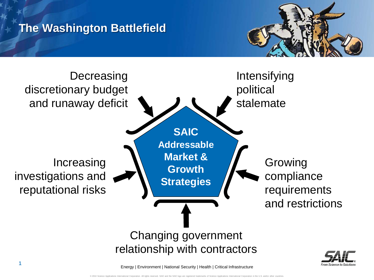

## **The Washington Battlefield**

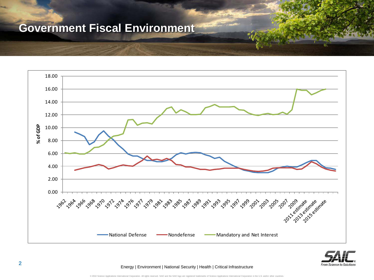## **Government Fiscal Environment**





Energy | Environment | National Security | Health | Critical Infrastructure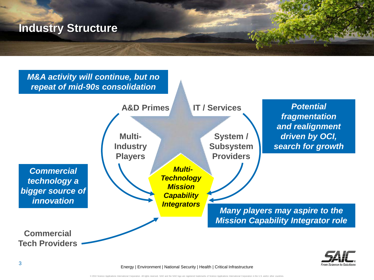



Energy | Environment | National Security | Health | Critical Infrastructure